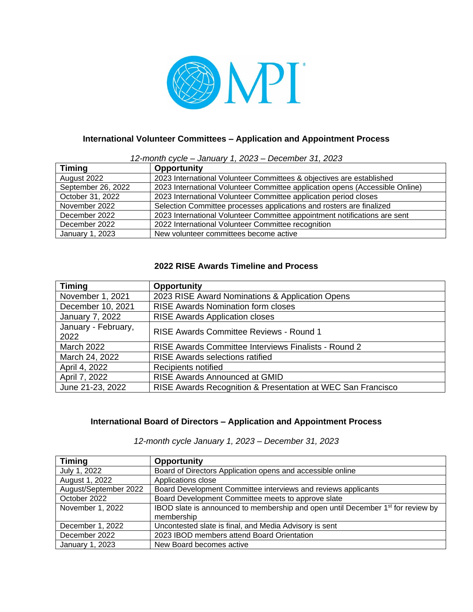

# **International Volunteer Committees – Application and Appointment Process**

#### *12-month cycle – January 1, 2023 – December 31, 2023*

| <b>Timing</b>      | <b>Opportunity</b>                                                           |
|--------------------|------------------------------------------------------------------------------|
| August 2022        | 2023 International Volunteer Committees & objectives are established         |
| September 26, 2022 | 2023 International Volunteer Committee application opens (Accessible Online) |
| October 31, 2022   | 2023 International Volunteer Committee application period closes             |
| November 2022      | Selection Committee processes applications and rosters are finalized         |
| December 2022      | 2023 International Volunteer Committee appointment notifications are sent    |
| December 2022      | 2022 International Volunteer Committee recognition                           |
| January 1, 2023    | New volunteer committees become active                                       |

## **2022 RISE Awards Timeline and Process**

| <b>Timing</b>               | <b>Opportunity</b>                                          |
|-----------------------------|-------------------------------------------------------------|
| November 1, 2021            | 2023 RISE Award Nominations & Application Opens             |
| December 10, 2021           | <b>RISE Awards Nomination form closes</b>                   |
| January 7, 2022             | <b>RISE Awards Application closes</b>                       |
| January - February,<br>2022 | RISE Awards Committee Reviews - Round 1                     |
| <b>March 2022</b>           | RISE Awards Committee Interviews Finalists - Round 2        |
| March 24, 2022              | <b>RISE Awards selections ratified</b>                      |
| April 4, 2022               | Recipients notified                                         |
| April 7, 2022               | RISE Awards Announced at GMID                               |
| June 21-23, 2022            | RISE Awards Recognition & Presentation at WEC San Francisco |

## **International Board of Directors – Application and Appointment Process**

*12-month cycle January 1, 2023 – December 31, 2023*

| <b>Timing</b>         | <b>Opportunity</b>                                                                          |
|-----------------------|---------------------------------------------------------------------------------------------|
| July 1, 2022          | Board of Directors Application opens and accessible online                                  |
| August 1, 2022        | Applications close                                                                          |
| August/September 2022 | Board Development Committee interviews and reviews applicants                               |
| October 2022          | Board Development Committee meets to approve slate                                          |
| November 1, 2022      | IBOD slate is announced to membership and open until December 1 <sup>st</sup> for review by |
|                       | membership                                                                                  |
| December 1, 2022      | Uncontested slate is final, and Media Advisory is sent                                      |
| December 2022         | 2023 IBOD members attend Board Orientation                                                  |
| January 1, 2023       | New Board becomes active                                                                    |